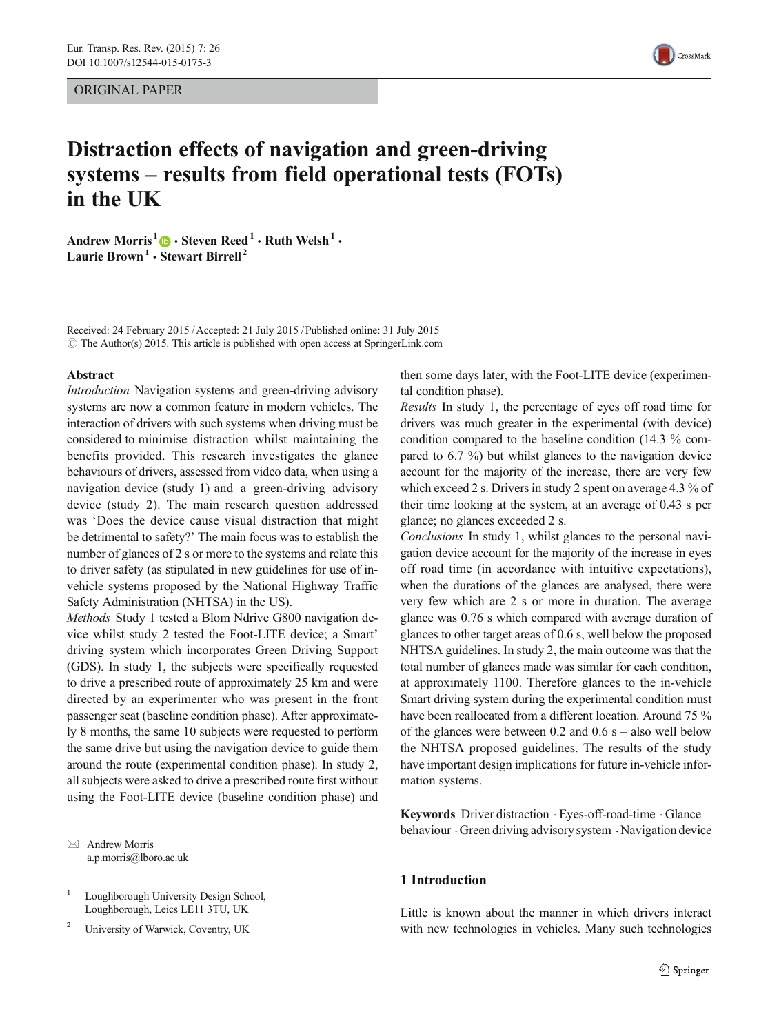ORIGINAL PAPER

# CrossMark

# Distraction effects of navigation and green-driving systems – results from field operational tests (FOTs) in the UK

Andrew Morris<sup>1</sup>  $\mathbf{D} \cdot \mathbf{St}$  Reed<sup>1</sup>  $\cdot$  Ruth Welsh<sup>1</sup>  $\cdot$ Laurie Brown<sup>1</sup>  $\cdot$  Stewart Birrell<sup>2</sup>

Received: 24 February 2015 /Accepted: 21 July 2015 /Published online: 31 July 2015  $\odot$  The Author(s) 2015. This article is published with open access at SpringerLink.com

#### Abstract

Introduction Navigation systems and green-driving advisory systems are now a common feature in modern vehicles. The interaction of drivers with such systems when driving must be considered to minimise distraction whilst maintaining the benefits provided. This research investigates the glance behaviours of drivers, assessed from video data, when using a navigation device (study 1) and a green-driving advisory device (study 2). The main research question addressed was 'Does the device cause visual distraction that might be detrimental to safety?' The main focus was to establish the number of glances of 2 s or more to the systems and relate this to driver safety (as stipulated in new guidelines for use of invehicle systems proposed by the National Highway Traffic Safety Administration (NHTSA) in the US).

Methods Study 1 tested a Blom Ndrive G800 navigation device whilst study 2 tested the Foot-LITE device; a Smart' driving system which incorporates Green Driving Support (GDS). In study 1, the subjects were specifically requested to drive a prescribed route of approximately 25 km and were directed by an experimenter who was present in the front passenger seat (baseline condition phase). After approximately 8 months, the same 10 subjects were requested to perform the same drive but using the navigation device to guide them around the route (experimental condition phase). In study 2, all subjects were asked to drive a prescribed route first without using the Foot-LITE device (baseline condition phase) and

 $\boxtimes$  Andrew Morris a.p.morris@lboro.ac.uk

<sup>1</sup> Loughborough University Design School, Loughborough, Leics LE11 3TU, UK

<sup>2</sup> University of Warwick, Coventry, UK

then some days later, with the Foot-LITE device (experimental condition phase).

Results In study 1, the percentage of eyes off road time for drivers was much greater in the experimental (with device) condition compared to the baseline condition (14.3 % compared to 6.7 %) but whilst glances to the navigation device account for the majority of the increase, there are very few which exceed 2 s. Drivers in study 2 spent on average 4.3 % of their time looking at the system, at an average of 0.43 s per glance; no glances exceeded 2 s.

Conclusions In study 1, whilst glances to the personal navigation device account for the majority of the increase in eyes off road time (in accordance with intuitive expectations), when the durations of the glances are analysed, there were very few which are 2 s or more in duration. The average glance was 0.76 s which compared with average duration of glances to other target areas of 0.6 s, well below the proposed NHTSA guidelines. In study 2, the main outcome was that the total number of glances made was similar for each condition, at approximately 1100. Therefore glances to the in-vehicle Smart driving system during the experimental condition must have been reallocated from a different location. Around 75 % of the glances were between  $0.2$  and  $0.6$  s – also well below the NHTSA proposed guidelines. The results of the study have important design implications for future in-vehicle information systems.

Keywords Driver distraction . Eyes-off-road-time . Glance behaviour . Green driving advisory system . Navigation device

# 1 Introduction

Little is known about the manner in which drivers interact with new technologies in vehicles. Many such technologies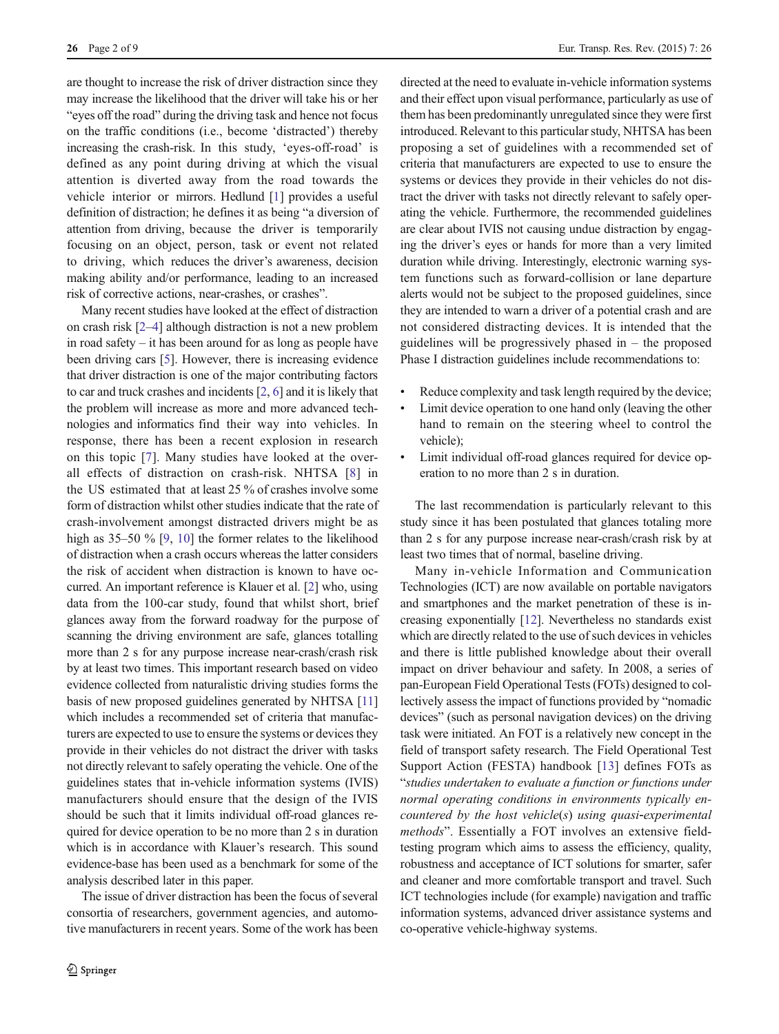are thought to increase the risk of driver distraction since they may increase the likelihood that the driver will take his or her "eyes off the road" during the driving task and hence not focus on the traffic conditions (i.e., become 'distracted') thereby increasing the crash-risk. In this study, 'eyes-off-road' is defined as any point during driving at which the visual attention is diverted away from the road towards the vehicle interior or mirrors. Hedlund [\[1\]](#page-7-0) provides a useful definition of distraction; he defines it as being "a diversion of attention from driving, because the driver is temporarily focusing on an object, person, task or event not related to driving, which reduces the driver's awareness, decision making ability and/or performance, leading to an increased risk of corrective actions, near-crashes, or crashes".

Many recent studies have looked at the effect of distraction on crash risk [[2](#page-7-0)–[4](#page-8-0)] although distraction is not a new problem in road safety – it has been around for as long as people have been driving cars [\[5](#page-8-0)]. However, there is increasing evidence that driver distraction is one of the major contributing factors to car and truck crashes and incidents [\[2](#page-7-0), [6](#page-8-0)] and it is likely that the problem will increase as more and more advanced technologies and informatics find their way into vehicles. In response, there has been a recent explosion in research on this topic [\[7](#page-8-0)]. Many studies have looked at the overall effects of distraction on crash-risk. NHTSA [\[8](#page-8-0)] in the US estimated that at least 25 % of crashes involve some form of distraction whilst other studies indicate that the rate of crash-involvement amongst distracted drivers might be as high as 35–50 % [\[9,](#page-8-0) [10](#page-8-0)] the former relates to the likelihood of distraction when a crash occurs whereas the latter considers the risk of accident when distraction is known to have occurred. An important reference is Klauer et al. [[2](#page-7-0)] who, using data from the 100-car study, found that whilst short, brief glances away from the forward roadway for the purpose of scanning the driving environment are safe, glances totalling more than 2 s for any purpose increase near-crash/crash risk by at least two times. This important research based on video evidence collected from naturalistic driving studies forms the basis of new proposed guidelines generated by NHTSA [\[11\]](#page-8-0) which includes a recommended set of criteria that manufacturers are expected to use to ensure the systems or devices they provide in their vehicles do not distract the driver with tasks not directly relevant to safely operating the vehicle. One of the guidelines states that in-vehicle information systems (IVIS) manufacturers should ensure that the design of the IVIS should be such that it limits individual off-road glances required for device operation to be no more than 2 s in duration which is in accordance with Klauer's research. This sound evidence-base has been used as a benchmark for some of the analysis described later in this paper.

The issue of driver distraction has been the focus of several consortia of researchers, government agencies, and automotive manufacturers in recent years. Some of the work has been directed at the need to evaluate in-vehicle information systems and their effect upon visual performance, particularly as use of them has been predominantly unregulated since they were first introduced. Relevant to this particular study, NHTSA has been proposing a set of guidelines with a recommended set of criteria that manufacturers are expected to use to ensure the systems or devices they provide in their vehicles do not distract the driver with tasks not directly relevant to safely operating the vehicle. Furthermore, the recommended guidelines are clear about IVIS not causing undue distraction by engaging the driver's eyes or hands for more than a very limited duration while driving. Interestingly, electronic warning system functions such as forward-collision or lane departure alerts would not be subject to the proposed guidelines, since they are intended to warn a driver of a potential crash and are not considered distracting devices. It is intended that the guidelines will be progressively phased in  $-$  the proposed Phase I distraction guidelines include recommendations to:

- Reduce complexity and task length required by the device;
- & Limit device operation to one hand only (leaving the other hand to remain on the steering wheel to control the vehicle);
- Limit individual off-road glances required for device operation to no more than 2 s in duration.

The last recommendation is particularly relevant to this study since it has been postulated that glances totaling more than 2 s for any purpose increase near-crash/crash risk by at least two times that of normal, baseline driving.

Many in-vehicle Information and Communication Technologies (ICT) are now available on portable navigators and smartphones and the market penetration of these is increasing exponentially [[12\]](#page-8-0). Nevertheless no standards exist which are directly related to the use of such devices in vehicles and there is little published knowledge about their overall impact on driver behaviour and safety. In 2008, a series of pan-European Field Operational Tests (FOTs) designed to collectively assess the impact of functions provided by "nomadic devices" (such as personal navigation devices) on the driving task were initiated. An FOT is a relatively new concept in the field of transport safety research. The Field Operational Test Support Action (FESTA) handbook [[13](#page-8-0)] defines FOTs as "studies undertaken to evaluate a function or functions under normal operating conditions in environments typically encountered by the host vehicle $(s)$  using quasi-experimental methods". Essentially a FOT involves an extensive fieldtesting program which aims to assess the efficiency, quality, robustness and acceptance of ICT solutions for smarter, safer and cleaner and more comfortable transport and travel. Such ICT technologies include (for example) navigation and traffic information systems, advanced driver assistance systems and co-operative vehicle-highway systems.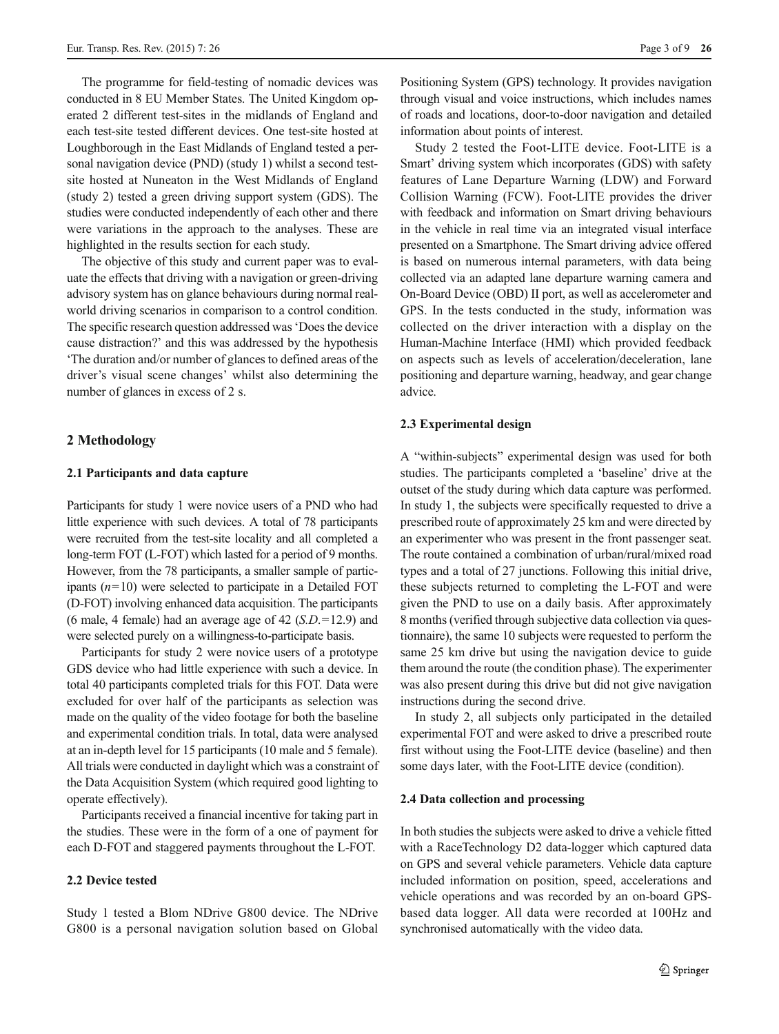The programme for field-testing of nomadic devices was conducted in 8 EU Member States. The United Kingdom operated 2 different test-sites in the midlands of England and each test-site tested different devices. One test-site hosted at Loughborough in the East Midlands of England tested a personal navigation device (PND) (study 1) whilst a second testsite hosted at Nuneaton in the West Midlands of England (study 2) tested a green driving support system (GDS). The studies were conducted independently of each other and there were variations in the approach to the analyses. These are highlighted in the results section for each study.

The objective of this study and current paper was to evaluate the effects that driving with a navigation or green-driving advisory system has on glance behaviours during normal realworld driving scenarios in comparison to a control condition. The specific research question addressed was'Does the device cause distraction?' and this was addressed by the hypothesis 'The duration and/or number of glances to defined areas of the driver's visual scene changes' whilst also determining the number of glances in excess of 2 s.

## 2 Methodology

#### 2.1 Participants and data capture

Participants for study 1 were novice users of a PND who had little experience with such devices. A total of 78 participants were recruited from the test-site locality and all completed a long-term FOT (L-FOT) which lasted for a period of 9 months. However, from the 78 participants, a smaller sample of participants  $(n=10)$  were selected to participate in a Detailed FOT (D-FOT) involving enhanced data acquisition. The participants (6 male, 4 female) had an average age of  $42$  (S.D.=12.9) and were selected purely on a willingness-to-participate basis.

Participants for study 2 were novice users of a prototype GDS device who had little experience with such a device. In total 40 participants completed trials for this FOT. Data were excluded for over half of the participants as selection was made on the quality of the video footage for both the baseline and experimental condition trials. In total, data were analysed at an in-depth level for 15 participants (10 male and 5 female). All trials were conducted in daylight which was a constraint of the Data Acquisition System (which required good lighting to operate effectively).

Participants received a financial incentive for taking part in the studies. These were in the form of a one of payment for each D-FOT and staggered payments throughout the L-FOT.

## 2.2 Device tested

Study 1 tested a Blom NDrive G800 device. The NDrive G800 is a personal navigation solution based on Global

Positioning System (GPS) technology. It provides navigation through visual and voice instructions, which includes names of roads and locations, door-to-door navigation and detailed information about points of interest.

Study 2 tested the Foot-LITE device. Foot-LITE is a Smart' driving system which incorporates (GDS) with safety features of Lane Departure Warning (LDW) and Forward Collision Warning (FCW). Foot-LITE provides the driver with feedback and information on Smart driving behaviours in the vehicle in real time via an integrated visual interface presented on a Smartphone. The Smart driving advice offered is based on numerous internal parameters, with data being collected via an adapted lane departure warning camera and On-Board Device (OBD) II port, as well as accelerometer and GPS. In the tests conducted in the study, information was collected on the driver interaction with a display on the Human-Machine Interface (HMI) which provided feedback on aspects such as levels of acceleration/deceleration, lane positioning and departure warning, headway, and gear change advice.

#### 2.3 Experimental design

A "within-subjects" experimental design was used for both studies. The participants completed a 'baseline' drive at the outset of the study during which data capture was performed. In study 1, the subjects were specifically requested to drive a prescribed route of approximately 25 km and were directed by an experimenter who was present in the front passenger seat. The route contained a combination of urban/rural/mixed road types and a total of 27 junctions. Following this initial drive, these subjects returned to completing the L-FOT and were given the PND to use on a daily basis. After approximately 8 months (verified through subjective data collection via questionnaire), the same 10 subjects were requested to perform the same 25 km drive but using the navigation device to guide them around the route (the condition phase). The experimenter was also present during this drive but did not give navigation instructions during the second drive.

In study 2, all subjects only participated in the detailed experimental FOT and were asked to drive a prescribed route first without using the Foot-LITE device (baseline) and then some days later, with the Foot-LITE device (condition).

#### 2.4 Data collection and processing

In both studies the subjects were asked to drive a vehicle fitted with a RaceTechnology D2 data-logger which captured data on GPS and several vehicle parameters. Vehicle data capture included information on position, speed, accelerations and vehicle operations and was recorded by an on-board GPSbased data logger. All data were recorded at 100Hz and synchronised automatically with the video data.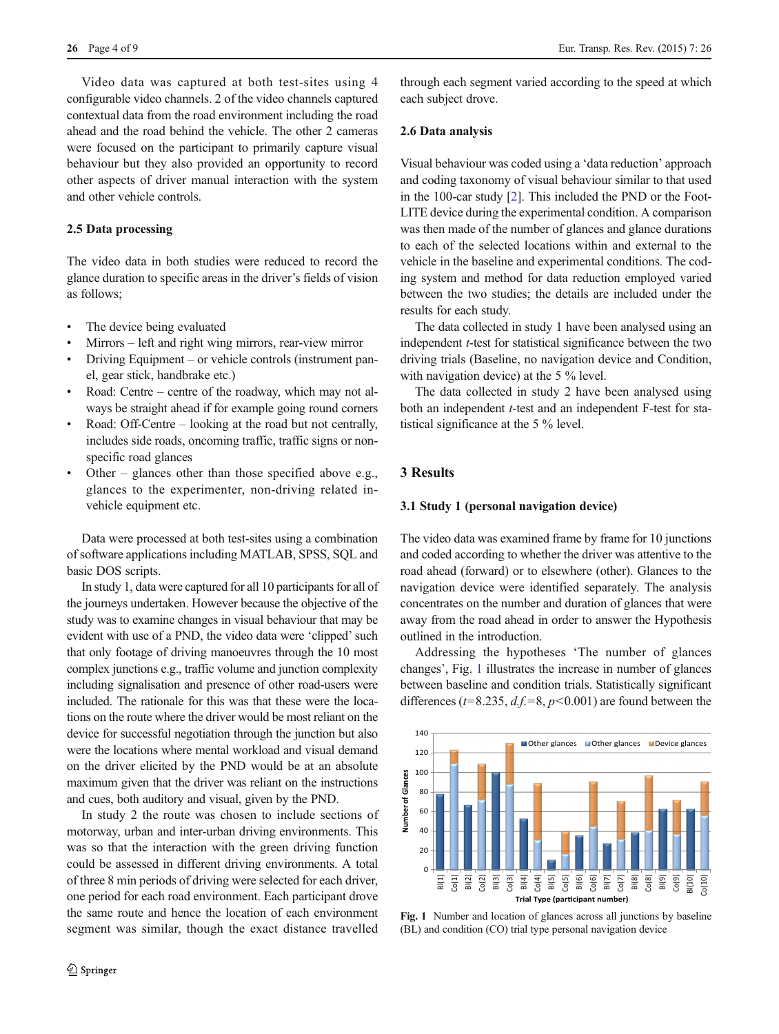<span id="page-3-0"></span>Video data was captured at both test-sites using 4 configurable video channels. 2 of the video channels captured contextual data from the road environment including the road ahead and the road behind the vehicle. The other 2 cameras were focused on the participant to primarily capture visual behaviour but they also provided an opportunity to record other aspects of driver manual interaction with the system and other vehicle controls.

## 2.5 Data processing

The video data in both studies were reduced to record the glance duration to specific areas in the driver's fields of vision as follows;

- The device being evaluated
- Mirrors left and right wing mirrors, rear-view mirror
- Driving Equipment or vehicle controls (instrument panel, gear stick, handbrake etc.)
- Road: Centre centre of the roadway, which may not always be straight ahead if for example going round corners
- Road: Off-Centre looking at the road but not centrally, includes side roads, oncoming traffic, traffic signs or nonspecific road glances
- & Other glances other than those specified above e.g., glances to the experimenter, non-driving related invehicle equipment etc.

Data were processed at both test-sites using a combination of software applications including MATLAB, SPSS, SQL and basic DOS scripts.

In study 1, data were captured for all 10 participants for all of the journeys undertaken. However because the objective of the study was to examine changes in visual behaviour that may be evident with use of a PND, the video data were 'clipped' such that only footage of driving manoeuvres through the 10 most complex junctions e.g., traffic volume and junction complexity including signalisation and presence of other road-users were included. The rationale for this was that these were the locations on the route where the driver would be most reliant on the device for successful negotiation through the junction but also were the locations where mental workload and visual demand on the driver elicited by the PND would be at an absolute maximum given that the driver was reliant on the instructions and cues, both auditory and visual, given by the PND.

In study 2 the route was chosen to include sections of motorway, urban and inter-urban driving environments. This was so that the interaction with the green driving function could be assessed in different driving environments. A total of three 8 min periods of driving were selected for each driver, one period for each road environment. Each participant drove the same route and hence the location of each environment segment was similar, though the exact distance travelled

through each segment varied according to the speed at which each subject drove.

#### 2.6 Data analysis

Visual behaviour was coded using a 'data reduction' approach and coding taxonomy of visual behaviour similar to that used in the 100-car study [[2\]](#page-7-0). This included the PND or the Foot-LITE device during the experimental condition. A comparison was then made of the number of glances and glance durations to each of the selected locations within and external to the vehicle in the baseline and experimental conditions. The coding system and method for data reduction employed varied between the two studies; the details are included under the results for each study.

The data collected in study 1 have been analysed using an independent *t*-test for statistical significance between the two driving trials (Baseline, no navigation device and Condition, with navigation device) at the 5 % level.

The data collected in study 2 have been analysed using both an independent *t*-test and an independent F-test for statistical significance at the 5 % level.

# 3 Results

#### 3.1 Study 1 (personal navigation device)

The video data was examined frame by frame for 10 junctions and coded according to whether the driver was attentive to the road ahead (forward) or to elsewhere (other). Glances to the navigation device were identified separately. The analysis concentrates on the number and duration of glances that were away from the road ahead in order to answer the Hypothesis outlined in the introduction.

Addressing the hypotheses 'The number of glances changes', Fig. 1 illustrates the increase in number of glances between baseline and condition trials. Statistically significant differences ( $t=8.235$ ,  $d.f.=8$ ,  $p<0.001$ ) are found between the



Fig. 1 Number and location of glances across all junctions by baseline (BL) and condition (CO) trial type personal navigation device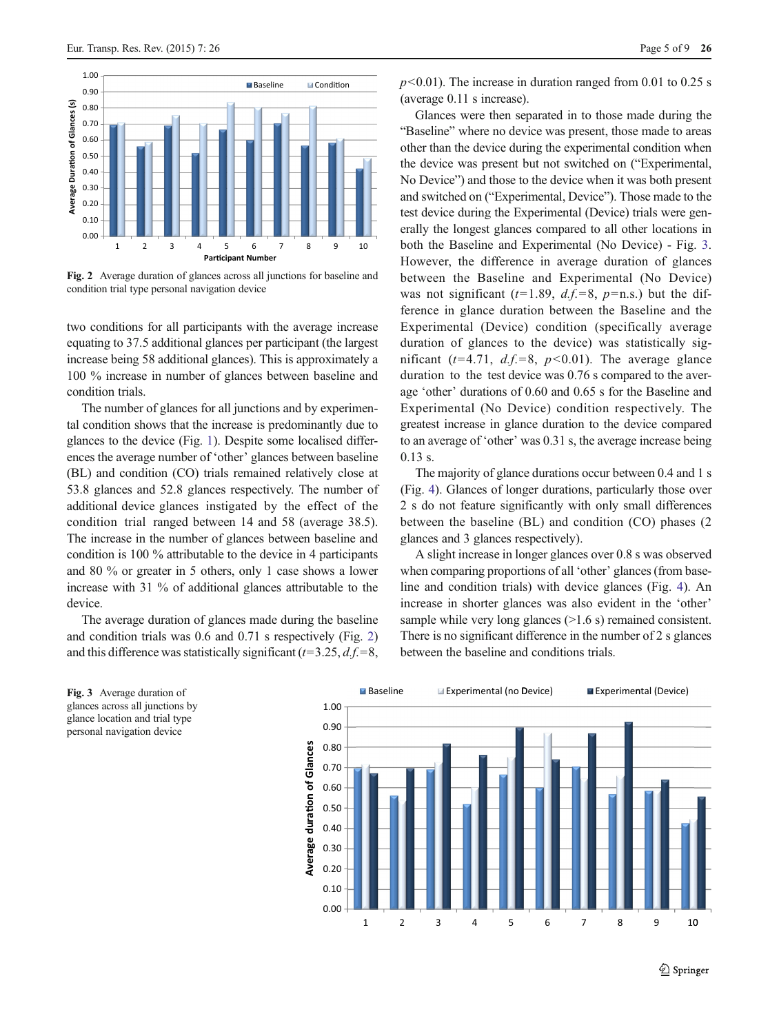

Fig. 2 Average duration of glances across all junctions for baseline and condition trial type personal navigation device

two conditions for all participants with the average increase equating to 37.5 additional glances per participant (the largest increase being 58 additional glances). This is approximately a 100 % increase in number of glances between baseline and condition trials.

The number of glances for all junctions and by experimental condition shows that the increase is predominantly due to glances to the device (Fig. [1](#page-3-0)). Despite some localised differences the average number of 'other' glances between baseline (BL) and condition (CO) trials remained relatively close at 53.8 glances and 52.8 glances respectively. The number of additional device glances instigated by the effect of the condition trial ranged between 14 and 58 (average 38.5). The increase in the number of glances between baseline and condition is 100 % attributable to the device in 4 participants and 80 % or greater in 5 others, only 1 case shows a lower increase with 31 % of additional glances attributable to the device.

The average duration of glances made during the baseline and condition trials was 0.6 and 0.71 s respectively (Fig. 2) and this difference was statistically significant  $(t=3.25, d.f.=8,$ 

 $p<0.01$ ). The increase in duration ranged from 0.01 to 0.25 s (average 0.11 s increase).

Glances were then separated in to those made during the "Baseline" where no device was present, those made to areas other than the device during the experimental condition when the device was present but not switched on ("Experimental, No Device") and those to the device when it was both present and switched on ("Experimental, Device"). Those made to the test device during the Experimental (Device) trials were generally the longest glances compared to all other locations in both the Baseline and Experimental (No Device) - Fig. 3. However, the difference in average duration of glances between the Baseline and Experimental (No Device) was not significant ( $t=1.89$ ,  $d.f.=8$ ,  $p=n.s.$ ) but the difference in glance duration between the Baseline and the Experimental (Device) condition (specifically average duration of glances to the device) was statistically significant ( $t=4.71$ ,  $d.f.=8$ ,  $p<0.01$ ). The average glance duration to the test device was 0.76 s compared to the average 'other' durations of 0.60 and 0.65 s for the Baseline and Experimental (No Device) condition respectively. The greatest increase in glance duration to the device compared to an average of 'other' was 0.31 s, the average increase being 0.13 s.

The majority of glance durations occur between 0.4 and 1 s (Fig. [4\)](#page-5-0). Glances of longer durations, particularly those over 2 s do not feature significantly with only small differences between the baseline (BL) and condition (CO) phases (2 glances and 3 glances respectively).

A slight increase in longer glances over 0.8 s was observed when comparing proportions of all 'other' glances (from baseline and condition trials) with device glances (Fig. [4\)](#page-5-0). An increase in shorter glances was also evident in the 'other' sample while very long glances ( $>1.6$  s) remained consistent. There is no significant difference in the number of 2 s glances between the baseline and conditions trials.

Fig. 3 Average duration of glances across all junctions by glance location and trial type personal navigation device

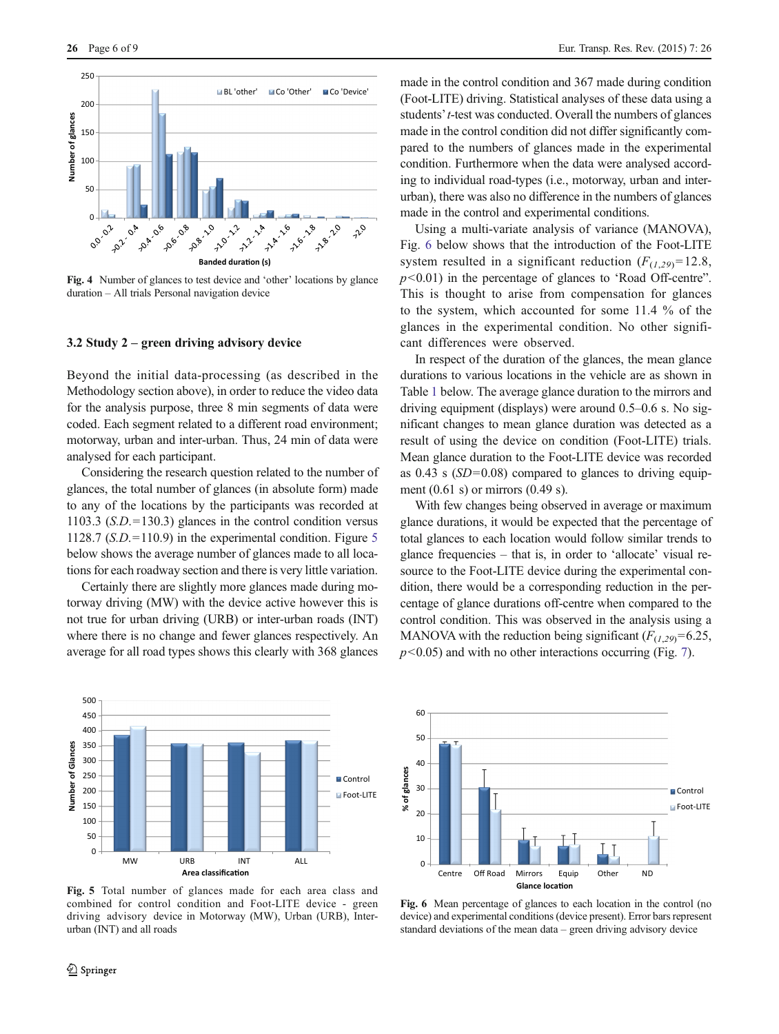<span id="page-5-0"></span>

Fig. 4 Number of glances to test device and 'other' locations by glance duration – All trials Personal navigation device

#### 3.2 Study 2 – green driving advisory device

Beyond the initial data-processing (as described in the Methodology section above), in order to reduce the video data for the analysis purpose, three 8 min segments of data were coded. Each segment related to a different road environment; motorway, urban and inter-urban. Thus, 24 min of data were analysed for each participant.

Considering the research question related to the number of glances, the total number of glances (in absolute form) made to any of the locations by the participants was recorded at 1103.3 ( $S.D.=130.3$ ) glances in the control condition versus 1128.7 ( $S.D.=110.9$ ) in the experimental condition. Figure 5 below shows the average number of glances made to all locations for each roadway section and there is very little variation.

Certainly there are slightly more glances made during motorway driving (MW) with the device active however this is not true for urban driving (URB) or inter-urban roads (INT) where there is no change and fewer glances respectively. An average for all road types shows this clearly with 368 glances



made in the control condition and 367 made during condition (Foot-LITE) driving. Statistical analyses of these data using a students' *t*-test was conducted. Overall the numbers of glances made in the control condition did not differ significantly compared to the numbers of glances made in the experimental condition. Furthermore when the data were analysed according to individual road-types (i.e., motorway, urban and interurban), there was also no difference in the numbers of glances made in the control and experimental conditions.

Using a multi-variate analysis of variance (MANOVA), Fig. 6 below shows that the introduction of the Foot-LITE system resulted in a significant reduction  $(F_{(1,29)}=12.8)$ ,  $p<0.01$ ) in the percentage of glances to 'Road Off-centre''. This is thought to arise from compensation for glances to the system, which accounted for some 11.4 % of the glances in the experimental condition. No other significant differences were observed.

In respect of the duration of the glances, the mean glance durations to various locations in the vehicle are as shown in Table [1](#page-6-0) below. The average glance duration to the mirrors and driving equipment (displays) were around 0.5–0.6 s. No significant changes to mean glance duration was detected as a result of using the device on condition (Foot-LITE) trials. Mean glance duration to the Foot-LITE device was recorded as  $0.43$  s  $(SD=0.08)$  compared to glances to driving equipment (0.61 s) or mirrors (0.49 s).

With few changes being observed in average or maximum glance durations, it would be expected that the percentage of total glances to each location would follow similar trends to glance frequencies – that is, in order to 'allocate' visual resource to the Foot-LITE device during the experimental condition, there would be a corresponding reduction in the percentage of glance durations off-centre when compared to the control condition. This was observed in the analysis using a MANOVA with the reduction being significant  $(F_{(1,29)}=6.25)$ ,  $p<0.05$ ) and with no other interactions occurring (Fig. [7\)](#page-6-0).



Fig. 5 Total number of glances made for each area class and combined for control condition and Foot-LITE device - green driving advisory device in Motorway (MW), Urban (URB), Interurban (INT) and all roads

Fig. 6 Mean percentage of glances to each location in the control (no device) and experimental conditions (device present). Error bars represent standard deviations of the mean data – green driving advisory device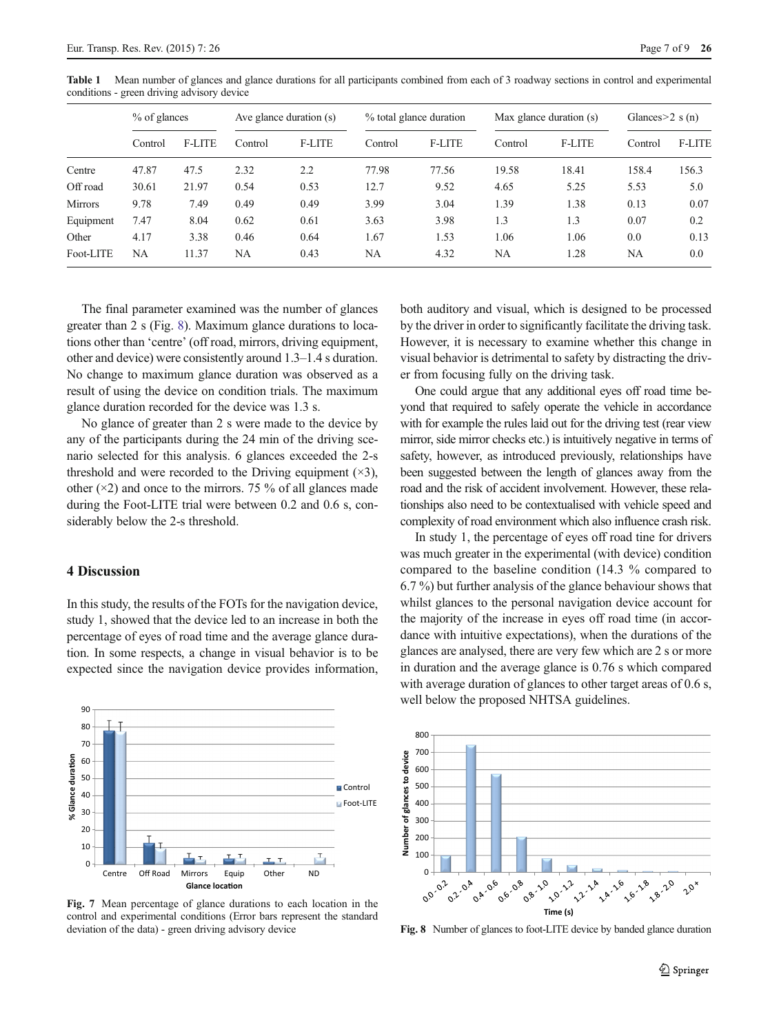|                | $\%$ of glances |               | Ave glance duration (s) |               | % total glance duration |               | Max glance duration (s) |               | Glances $>$ 2 s (n) |               |
|----------------|-----------------|---------------|-------------------------|---------------|-------------------------|---------------|-------------------------|---------------|---------------------|---------------|
|                | Control         | <b>F-LITE</b> | Control                 | <b>F-LITE</b> | Control                 | <b>F-LITE</b> | Control                 | <b>F-LITE</b> | Control             | <b>F-LITE</b> |
| Centre         | 47.87           | 47.5          | 2.32                    | 2.2           | 77.98                   | 77.56         | 19.58                   | 18.41         | 158.4               | 156.3         |
| Off road       | 30.61           | 21.97         | 0.54                    | 0.53          | 12.7                    | 9.52          | 4.65                    | 5.25          | 5.53                | 5.0           |
| <b>Mirrors</b> | 9.78            | 7.49          | 0.49                    | 0.49          | 3.99                    | 3.04          | 1.39                    | 1.38          | 0.13                | 0.07          |
| Equipment      | 7.47            | 8.04          | 0.62                    | 0.61          | 3.63                    | 3.98          | 1.3                     | 1.3           | 0.07                | 0.2           |
| Other          | 4.17            | 3.38          | 0.46                    | 0.64          | 1.67                    | 1.53          | 1.06                    | 1.06          | 0.0                 | 0.13          |
| Foot-LITE      | NA              | 11.37         | NA                      | 0.43          | NA                      | 4.32          | NA                      | 1.28          | <b>NA</b>           | 0.0           |

<span id="page-6-0"></span>Table 1 Mean number of glances and glance durations for all participants combined from each of 3 roadway sections in control and experimental conditions - green driving advisory device

The final parameter examined was the number of glances greater than 2 s (Fig. 8). Maximum glance durations to locations other than 'centre' (off road, mirrors, driving equipment, other and device) were consistently around 1.3–1.4 s duration. No change to maximum glance duration was observed as a result of using the device on condition trials. The maximum glance duration recorded for the device was 1.3 s.

No glance of greater than 2 s were made to the device by any of the participants during the 24 min of the driving scenario selected for this analysis. 6 glances exceeded the 2-s threshold and were recorded to the Driving equipment  $(\times 3)$ , other  $(\times 2)$  and once to the mirrors. 75 % of all glances made during the Foot-LITE trial were between 0.2 and 0.6 s, considerably below the 2-s threshold.

# 4 Discussion

In this study, the results of the FOTs for the navigation device, study 1, showed that the device led to an increase in both the percentage of eyes of road time and the average glance duration. In some respects, a change in visual behavior is to be expected since the navigation device provides information,



Fig. 7 Mean percentage of glance durations to each location in the control and experimental conditions (Error bars represent the standard deviation of the data) - green driving advisory device

both auditory and visual, which is designed to be processed by the driver in order to significantly facilitate the driving task. However, it is necessary to examine whether this change in visual behavior is detrimental to safety by distracting the driver from focusing fully on the driving task.

One could argue that any additional eyes off road time beyond that required to safely operate the vehicle in accordance with for example the rules laid out for the driving test (rear view mirror, side mirror checks etc.) is intuitively negative in terms of safety, however, as introduced previously, relationships have been suggested between the length of glances away from the road and the risk of accident involvement. However, these relationships also need to be contextualised with vehicle speed and complexity of road environment which also influence crash risk.

In study 1, the percentage of eyes off road tine for drivers was much greater in the experimental (with device) condition compared to the baseline condition (14.3 % compared to 6.7 %) but further analysis of the glance behaviour shows that whilst glances to the personal navigation device account for the majority of the increase in eyes off road time (in accordance with intuitive expectations), when the durations of the glances are analysed, there are very few which are 2 s or more in duration and the average glance is 0.76 s which compared with average duration of glances to other target areas of 0.6 s, well below the proposed NHTSA guidelines.



Fig. 8 Number of glances to foot-LITE device by banded glance duration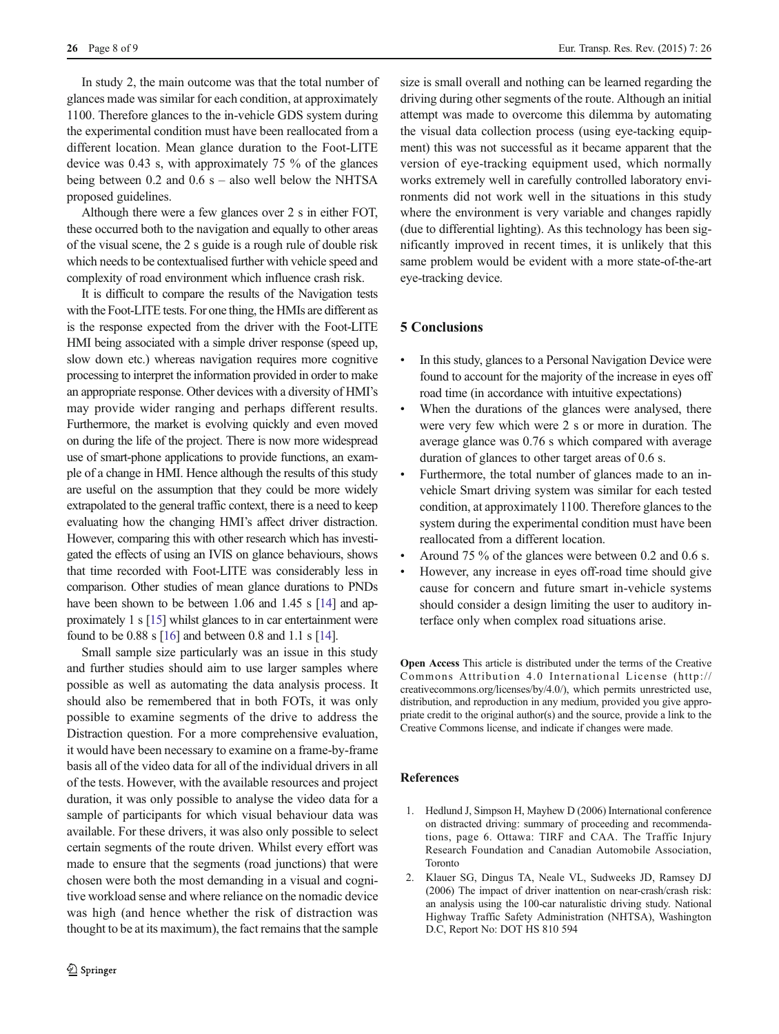<span id="page-7-0"></span>In study 2, the main outcome was that the total number of glances made was similar for each condition, at approximately 1100. Therefore glances to the in-vehicle GDS system during the experimental condition must have been reallocated from a different location. Mean glance duration to the Foot-LITE device was 0.43 s, with approximately 75 % of the glances being between 0.2 and 0.6 s – also well below the NHTSA proposed guidelines.

Although there were a few glances over 2 s in either FOT, these occurred both to the navigation and equally to other areas of the visual scene, the 2 s guide is a rough rule of double risk which needs to be contextualised further with vehicle speed and complexity of road environment which influence crash risk.

It is difficult to compare the results of the Navigation tests with the Foot-LITE tests. For one thing, the HMIs are different as is the response expected from the driver with the Foot-LITE HMI being associated with a simple driver response (speed up, slow down etc.) whereas navigation requires more cognitive processing to interpret the information provided in order to make an appropriate response. Other devices with a diversity of HMI's may provide wider ranging and perhaps different results. Furthermore, the market is evolving quickly and even moved on during the life of the project. There is now more widespread use of smart-phone applications to provide functions, an example of a change in HMI. Hence although the results of this study are useful on the assumption that they could be more widely extrapolated to the general traffic context, there is a need to keep evaluating how the changing HMI's affect driver distraction. However, comparing this with other research which has investigated the effects of using an IVIS on glance behaviours, shows that time recorded with Foot-LITE was considerably less in comparison. Other studies of mean glance durations to PNDs have been shown to be between 1.06 and 1.45 s [\[14\]](#page-8-0) and approximately 1 s [[15](#page-8-0)] whilst glances to in car entertainment were found to be 0.88 s [\[16](#page-8-0)] and between 0.8 and 1.1 s [\[14\]](#page-8-0).

Small sample size particularly was an issue in this study and further studies should aim to use larger samples where possible as well as automating the data analysis process. It should also be remembered that in both FOTs, it was only possible to examine segments of the drive to address the Distraction question. For a more comprehensive evaluation, it would have been necessary to examine on a frame-by-frame basis all of the video data for all of the individual drivers in all of the tests. However, with the available resources and project duration, it was only possible to analyse the video data for a sample of participants for which visual behaviour data was available. For these drivers, it was also only possible to select certain segments of the route driven. Whilst every effort was made to ensure that the segments (road junctions) that were chosen were both the most demanding in a visual and cognitive workload sense and where reliance on the nomadic device was high (and hence whether the risk of distraction was thought to be at its maximum), the fact remains that the sample

size is small overall and nothing can be learned regarding the driving during other segments of the route. Although an initial attempt was made to overcome this dilemma by automating the visual data collection process (using eye-tacking equipment) this was not successful as it became apparent that the version of eye-tracking equipment used, which normally works extremely well in carefully controlled laboratory environments did not work well in the situations in this study where the environment is very variable and changes rapidly (due to differential lighting). As this technology has been significantly improved in recent times, it is unlikely that this same problem would be evident with a more state-of-the-art eye-tracking device.

# 5 Conclusions

- In this study, glances to a Personal Navigation Device were found to account for the majority of the increase in eyes off road time (in accordance with intuitive expectations)
- & When the durations of the glances were analysed, there were very few which were 2 s or more in duration. The average glance was 0.76 s which compared with average duration of glances to other target areas of 0.6 s.
- Furthermore, the total number of glances made to an invehicle Smart driving system was similar for each tested condition, at approximately 1100. Therefore glances to the system during the experimental condition must have been reallocated from a different location.
- & Around 75 % of the glances were between 0.2 and 0.6 s.
- & However, any increase in eyes off-road time should give cause for concern and future smart in-vehicle systems should consider a design limiting the user to auditory interface only when complex road situations arise.

Open Access This article is distributed under the terms of the Creative Commons Attribution 4.0 International License (http:// creativecommons.org/licenses/by/4.0/), which permits unrestricted use, distribution, and reproduction in any medium, provided you give appropriate credit to the original author(s) and the source, provide a link to the Creative Commons license, and indicate if changes were made.

#### References

- 1. Hedlund J, Simpson H, Mayhew D (2006) International conference on distracted driving: summary of proceeding and recommendations, page 6. Ottawa: TIRF and CAA. The Traffic Injury Research Foundation and Canadian Automobile Association, Toronto
- 2. Klauer SG, Dingus TA, Neale VL, Sudweeks JD, Ramsey DJ (2006) The impact of driver inattention on near-crash/crash risk: an analysis using the 100-car naturalistic driving study. National Highway Traffic Safety Administration (NHTSA), Washington D.C, Report No: DOT HS 810 594